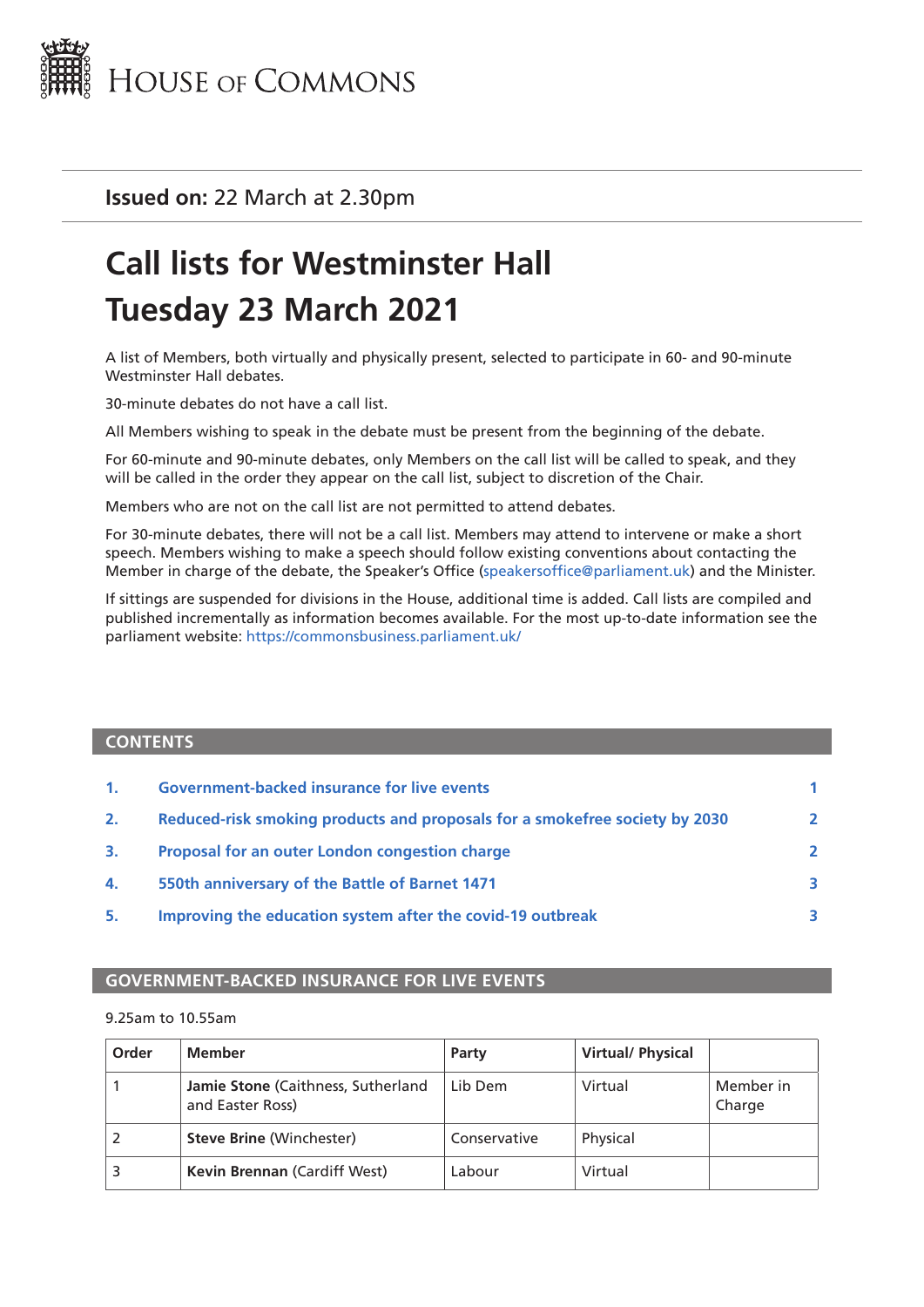

**Issued on:** 22 March at 2.30pm

# **Call lists for Westminster Hall Tuesday 23 March 2021**

A list of Members, both virtually and physically present, selected to participate in 60- and 90-minute Westminster Hall debates.

30-minute debates do not have a call list.

All Members wishing to speak in the debate must be present from the beginning of the debate.

For 60-minute and 90-minute debates, only Members on the call list will be called to speak, and they will be called in the order they appear on the call list, subject to discretion of the Chair.

Members who are not on the call list are not permitted to attend debates.

For 30-minute debates, there will not be a call list. Members may attend to intervene or make a short speech. Members wishing to make a speech should follow existing conventions about contacting the Member in charge of the debate, the Speaker's Office ([speakersoffice@parliament.uk\)](mailto:speakersoffice%40parliament.uk?subject=) and the Minister.

If sittings are suspended for divisions in the House, additional time is added. Call lists are compiled and published incrementally as information becomes available. For the most up-to-date information see the parliament website: <https://commonsbusiness.parliament.uk/>

#### **CONTENTS**

| $\mathbf{1}$ . | <b>Government-backed insurance for live events</b>                          |              |
|----------------|-----------------------------------------------------------------------------|--------------|
| 2.             | Reduced-risk smoking products and proposals for a smokefree society by 2030 | $\mathbf{2}$ |
| 3.             | Proposal for an outer London congestion charge                              | $\mathbf{z}$ |
| 4.             | 550th anniversary of the Battle of Barnet 1471                              | 3.           |
| 5.             | Improving the education system after the covid-19 outbreak                  | <b>R</b>     |

#### **GOVERNMENT-BACKED INSURANCE FOR LIVE EVENTS**

#### 9.25am to 10.55am

| Order | Member                                                 | Party        | <b>Virtual/ Physical</b> |                     |
|-------|--------------------------------------------------------|--------------|--------------------------|---------------------|
|       | Jamie Stone (Caithness, Sutherland<br>and Easter Ross) | Lib Dem      | Virtual                  | Member in<br>Charge |
|       | <b>Steve Brine (Winchester)</b>                        | Conservative | Physical                 |                     |
|       | <b>Kevin Brennan (Cardiff West)</b>                    | Labour       | Virtual                  |                     |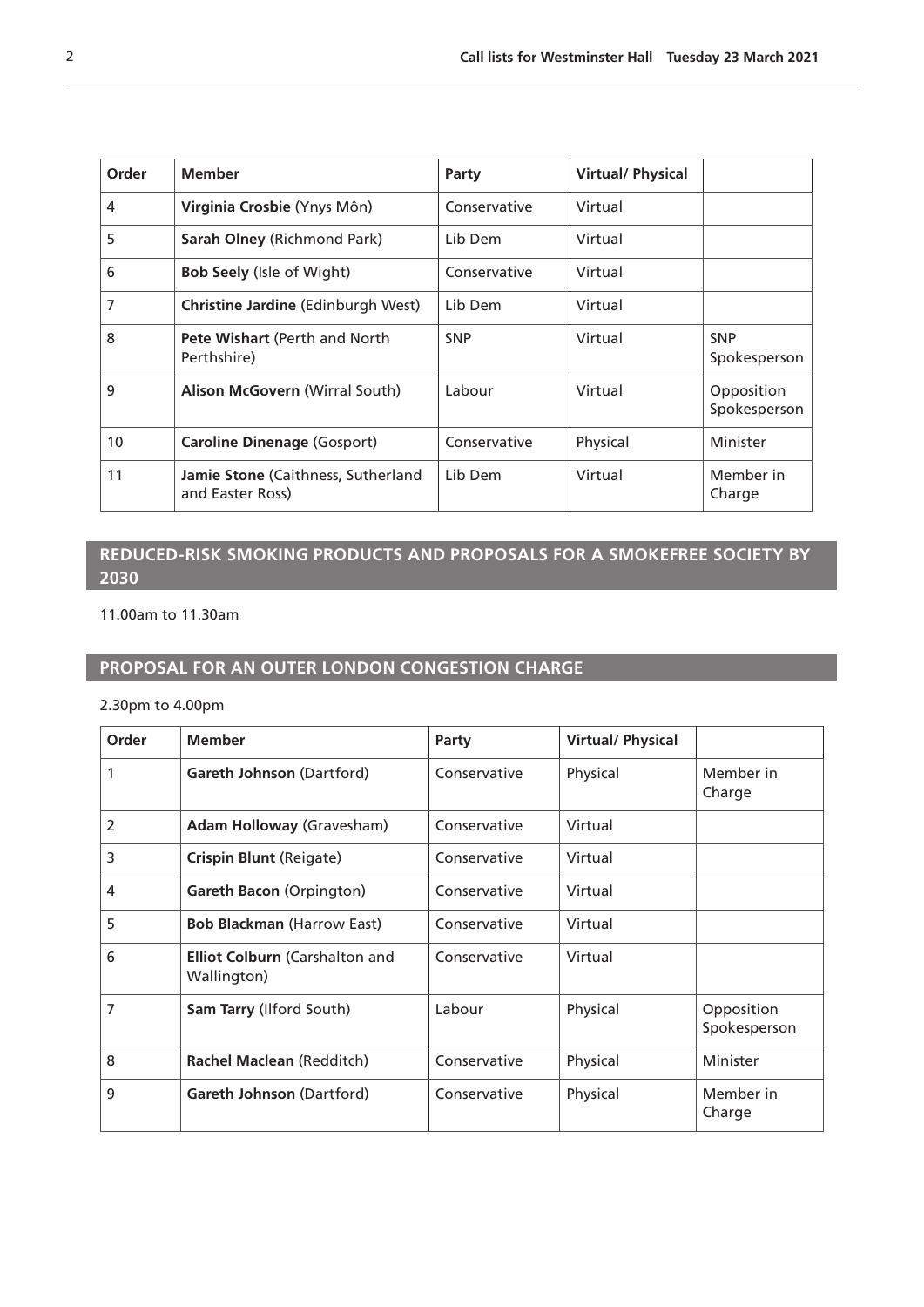<span id="page-1-0"></span>

| Order           | <b>Member</b>                                                 | Party        | <b>Virtual/Physical</b> |                            |
|-----------------|---------------------------------------------------------------|--------------|-------------------------|----------------------------|
| 4               | Virginia Crosbie (Ynys Môn)                                   | Conservative | Virtual                 |                            |
| 5               | <b>Sarah Olney (Richmond Park)</b>                            | Lib Dem      | Virtual                 |                            |
| 6               | <b>Bob Seely (Isle of Wight)</b>                              | Conservative | Virtual                 |                            |
| 7               | <b>Christine Jardine</b> (Edinburgh West)                     | Lib Dem      | Virtual                 |                            |
| 8               | Pete Wishart (Perth and North<br>Perthshire)                  | <b>SNP</b>   | Virtual                 | <b>SNP</b><br>Spokesperson |
| 9               | <b>Alison McGovern (Wirral South)</b>                         | Labour       | Virtual                 | Opposition<br>Spokesperson |
| 10 <sup>°</sup> | <b>Caroline Dinenage (Gosport)</b>                            | Conservative | Physical                | Minister                   |
| 11              | <b>Jamie Stone</b> (Caithness, Sutherland<br>and Easter Ross) | Lib Dem      | Virtual                 | Member in<br>Charge        |

### **REDUCED-RISK SMOKING PRODUCTS AND PROPOSALS FOR A SMOKEFREE SOCIETY BY 2030**

11.00am to 11.30am

### **PROPOSAL FOR AN OUTER LONDON CONGESTION CHARGE**

2.30pm to 4.00pm

| Order          | <b>Member</b>                                        | Party        | <b>Virtual/ Physical</b> |                            |
|----------------|------------------------------------------------------|--------------|--------------------------|----------------------------|
|                | Gareth Johnson (Dartford)                            | Conservative | Physical                 | Member in<br>Charge        |
| $\overline{2}$ | <b>Adam Holloway (Gravesham)</b>                     | Conservative | Virtual                  |                            |
| 3              | Crispin Blunt (Reigate)                              | Conservative | Virtual                  |                            |
| 4              | Gareth Bacon (Orpington)                             | Conservative | Virtual                  |                            |
| 5              | <b>Bob Blackman (Harrow East)</b>                    | Conservative | Virtual                  |                            |
| 6              | <b>Elliot Colburn (Carshalton and</b><br>Wallington) | Conservative | Virtual                  |                            |
| 7              | Sam Tarry (Ilford South)                             | Labour       | Physical                 | Opposition<br>Spokesperson |
| 8              | Rachel Maclean (Redditch)                            | Conservative | Physical                 | Minister                   |
| 9              | <b>Gareth Johnson (Dartford)</b>                     | Conservative | Physical                 | Member in<br>Charge        |